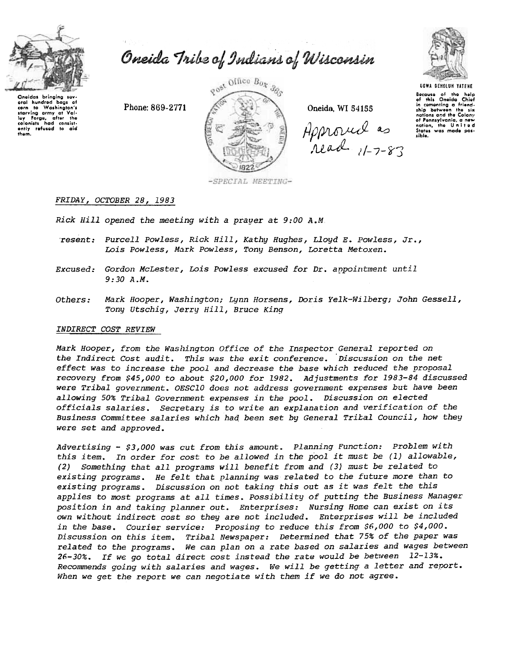

aral hundred hans of

ounces<br>I ley Forge, after the<br>Colonists had consistently refused to aid<br>them.

Washington's

# Oneida Tribe of Indians of Wisconsin

Phone: 869-2771



Oneida, WI 54155

Approved as



**UGWA DEMOLUM YATENE** Because of the help<br>of this Oneida Chief in comenting a friend-<br>ship between the six of Pennsylvania, a new

-SPECIAL MEETING-

## FRIDAY, OCTOBER 28, 1983

Rick Hill opened the meeting with a praver at 9:00 A.M.

- resent: Purcell Powless, Rick Hill, Kathy Hughes, Lloyd E. Powless, Jr., Lois Powless, Mark Powless, Tony Benson, Loretta Metoxen.
- Excused: Gordon McLester, Lois Powless excused for Dr. anpointment until  $9:30A.M.$
- Mark Hooper, Washington; Lynn Horsens, Doris Yelk-Wilberg; John Gessell, Others: Tony Utschig, Jerry Hill, Bruce King

#### INDIRECT COST REVIEW

Mark Hooper, from the Washington Office of the Inspector General reported on the Indirect Cost audit. This was the exit conference. Discussion on the net effect was to increase the pool and decrease the base which reduced the proposal recovery from \$45,000 to about \$20,000 for 1982. Adjustments for 1983-84 discussed were Tribal government. OESC10 does not address government expenses but have been allowing 50% Tribal Government expenses in the pool. Discussion on elected officials salaries. Secretary is to write an explanation and verification of the Business Committee salaries which had been set by General Tribal Council, how they were set and approved.

Advertising - \$3,000 was cut from this amount. Planning Function: Problem with this item. In order for cost to be allowed in the pool it must be (1) allowable, (2) Something that all programs will benefit from and (3) must be related to existing programs. He felt that planning was related to the future more than to existing programs. Discussion on not taking this out as it was felt the this applies to most programs at all times. Possibility of putting the Business Manager position in and taking planner out. Enterprises: Nursing Home can exist on its own without indirect cost so they are not included. Enterprises will be included in the base. Courier service: Proposing to reduce this from \$6,000 to \$4,000. Discussion on this item. Tribal Newspaper: Determined that 75% of the paper was related to the programs. We can plan on a rate based on salaries and wages between 26-30%. If we go total direct cost instead the rate would be between 12-13%. Recommends going with salaries and wages. We will be getting a letter and report. When we get the report we can negotiate with them if we do not agree.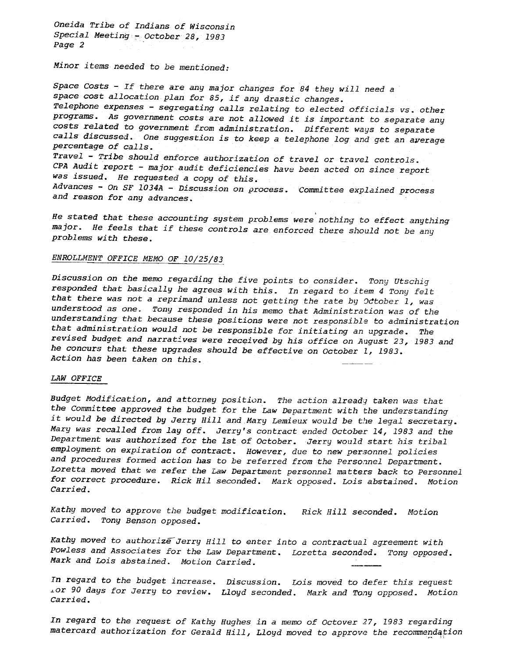Oneida Tribe of Indians of Wisconsin Special Meeting - October 28, 1983 Page 2

Minor items needed to be mentioned:

Space Costs - If there are any major changes for 84 they will need a space cost allocation plan for 85, if any drastic changes. Telephone expenses - segregating calls relating to elected officials vs. other programs. As government costs are not allowed it is important to separate any costs related to government from administration. Different ways to separate calls discussed. One suggestion is to keep a telephone log and get an average percentage of calls. Travel - Tribe should enforce authorization of travel or travel controls. CPA Audit report - major audit deficiencies have been acted on since report was issued. He requested a copy of this. Advances - On SF 1034A - Discussion on process. Committee explained process and reason for any advances.

He stated that these accounting system problems were nothing to effect anything major. He feels that if these controls are enforced there should not be any problems with these.

# ENROLLMENT OFFICE MEMO OF 10/25/83

Discussion on the memo regarding the five points to consider. Tony Utschig responded that basically he agrees with this. In regard to item 4 Tony felt that there was not a reprimand unless not getting the rate by October 1, was understood as one. Tony responded in his memo that Administration was of the understanding that because these positions were not responsible to administration that administration would not be responsible for initiating an upgrade. The revised budget and narratives were received by his office on August 23, 1983 and he concurs that these upgrades should be effective on October 1, 1983. Action has been taken on this.

#### LAW OFFICE

Budget Modification, and attorney position. The action already taken was that the Committee approved the budget for the Law Department with the understanding it would be directed by Jerry Hill and Mary Lemieux would be the legal secretary. Mary was recalled from lay off. Jerry's contract ended October 14, 1983 and the Department was authorized for the 1st of October. Jerry would start his tribal employment on expiration of contract. However, due to new personnel policies and procedures formed action has to be referred from the Personnel Department. Loretta moved that we refer the Law Department personnel matters back to Personnel for correct procedure. Rick Hil seconded. Mark opposed. Lois abstained. Motion Carried.

Kathy moved to approve the budget modification. Rick Hill seconded. Motion Carried. Tony Benson opposed.

Kathy moved to authorize Jerry Hill to enter into a contractual agreement with Powless and Associates for the Law Department. Loretta seconded. Tony opposed. Mark and Lois abstained. Motion Carried.

In regard to the budget increase. Discussion. Lois moved to defer this reque LOr 90 days for Jerry to review. Lloyd seconded. Mark and Tony opposed. Motio Carried.

In regard to the request of Kathy Hughes in a memo of Octover 27, 1983 regarding matercard authorization for Gerald Hill, Lloyd moved to approve the recommendation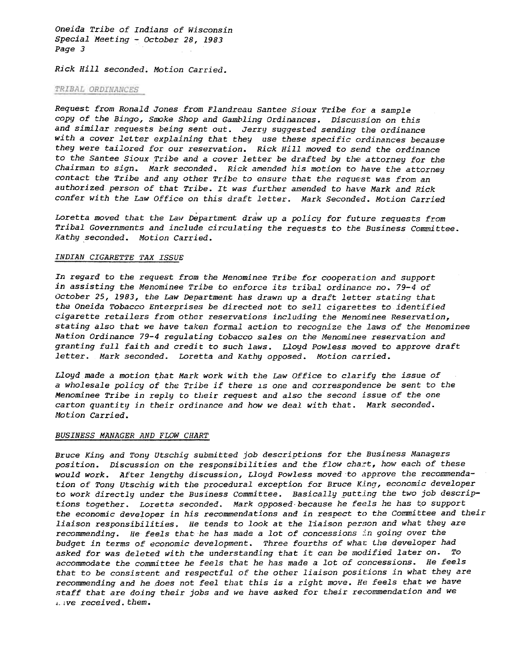Oneida Tribe of Indians of Wisconsin Special Meeting - October 28, 1983 Page 3

Rick Hill seconded. Motion Carried.

#### *TRIBAL ORDINANCES*

Request from Ronald Jones from Flandreau Santee Sioux Tribe for a sample copy of the Bingo, Smoke Shop and Gambling Ordinances. Discussion on this and similar requests being sent out. Jerry suggested sending the ordinance with a cover letter explaining that they use these specific ordinances because they were tailored for our reservation. Rick Hill moved to send the ordinance to the Santee Sioux Tribe and a cover letter be drafted by the attorney for the Chairman to sign. Mark seconded. Rick amended his motion to have the attorney contact the Tribe and any other Tribe to ensure that the request was from an authorized person of that Tribe. It was further amended to have Mark and Rick confer with the Law Office on this draft letter. Mark Seconded. Motion Carried

Loretta moved that the Law Department draw up a policy for future requests from Tribal Governments and include circulating the requests to the Business Committee. Kathy seconded. Motion Carried.

#### INDIAN CIGARETTE TAX ISSUE

In regard to the request from the Menominee Tribe for cooperation and support in assisting the Menominee Tribe to enforce its tribal ordinance no. 79-4 of October 25,1983, the Law Department has drawn up a draft letter stating that the Oneida Tobacco Enterprises be directed not to sell cigarettes to identified cigarette retailers from other reservations including the Menominee Reservation, stating also that we have taken formal action to recognize the laws of the Menominee Nation Ordinance 79-4 regulating tobacco sales on the Menominee reservation and granting full faith and credit to such laws. Lloyd Powless moved to approve draft letter. Mark seconded. Loretta and Kathy opposed. Motion carried.

 $Lloyd$  made a motion that Mark work with the Law Office to clarify the issue of a wholesale policy of the Tribe if there is one and correspondence be sent to the Menominee Tribe in reply to their request and also the second issue of the one carton quantity in their ordinance and how we deal with that. Mark seconded. Motion Carried.

## BUSINESS MANAGER AND FLOW CHART

Bruce King and Tony Utschig submitted job descriptions for the Business Managers position. Discussion on the responsibilities and the flow chart, how each of these would work. After lengthy discussion, Lloyd Powless moved to approve the recommendation of Tony Utschig with the procedural exception for Bruce King, economic developer to work directly under the Business Committee. Basically putting the two job descriptions together. Loretta seconded. Mark opposed because he feels he has to support the economic developer in his recommendations and in respect to the committee and their liaison responsibilities. He tends to look at the liaison person and what they are recommending. He feels that he has made a lot of concessions in going over the budget in terms of economic development. Three fourths of what the developer had asked for was deleted with the understanding that it can be modified later on. To accommodate the committee he feels that he has made a lot of concessions. He feels that to be consistent and respectful of the other liaison positions in what they are recommending and he does not feel that this is a right move. He feels that we have staff that are doing their jobs and we have asked for their recommendation and we Lave received. them.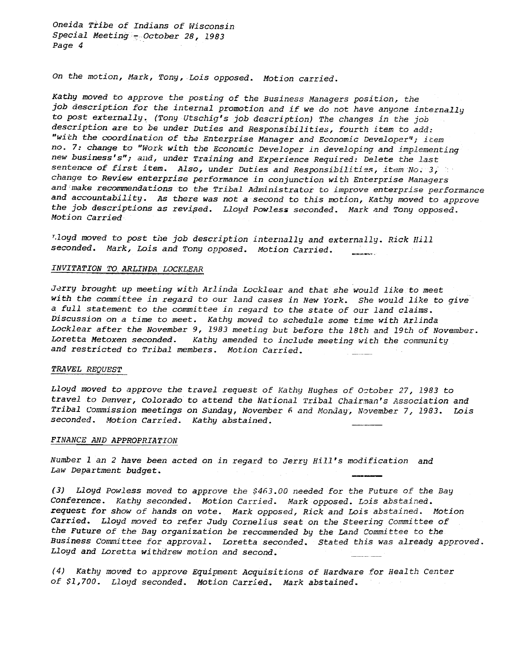Oneida Tribe of Indians of Wisconsin Special Meeting - October 28, 1983 Page 4

On the motion, Mark, Tony, Lois opposed. Motion carried.

Kathy moved to approve the posting of the Business Managers position, the job description for the internal promotion and if we do not have anyone internally to post externally. (Tony Utschig's job description) The changes in the job description are to be under Duties and Responsibilities, fourth item to add: "with the coordination of the Enterprise Manager and Economic Developer"; item no. 7: change to "Work with the Economic Developer in developing and implementing new business's"; and, under Training and Experience Required: Delete the last sentence of first item. Also, under Duties and Responsibilities, item No. 3, change to Review enterprise performance in conjunction with Enterprise Managers and make recommendations to the Tribal Administrator to improve enterprise performance and accountability. As there was not a second to this motion, Kathy moved to approve the job descriptions as revised. Lloyd Powless seconded. Mark and Tony opposed. Motion Carried

T.loyd moved to post the job description internally and externally. Rick Hill seconded. Mark, Lois and Tony opposed. Motion Carried.

# INVITATION TO ARLINDA LOCKLEAR

Jerry brought up meeting with Arlinda Locklear and that she would like to meet with the committee in regard to our land cases in New York. She would like to give a full statement to the committee in regard to the state of our land claims. Discussion on a time to meet. Kathy moved to schedule some time with Arlinda Locklear after the November 9, 1983 meeting but before the 18th and 19th of November. Loretta Metoxen seconded. Kathy amended to include meeting with the community and restricted to Tribal members. Motion Carried.

#### TRAVEL REQUEST

Lloyd moved to approve the travel request of Kathy Hughes of October 27, 1983 to travel to Denver, Colorado to attend the National Tribal Chairman's Association and Tribal Commission meetings on Sunday, November 6 and Monday, November 7, 1983. Lois seconded. Motion Carried. Kathy abstained.

### <u>FINANCE AND APPROPRIATI</u>

Number 1 an 2 have been acted on in regard to Jerry Hill's modification and Law Department budget.

(3) Lloyd Powless moved to approve the \$463.00 needed for the Future of the Bay Conference. Kathy seconded. Motion Carried. Mark opposed. Lois abstained. request for show of hands on vote. Mark opposed, Rick and Lois abstained. Motion Carried. Lloyd moved to refer Judy Cornelius seat on the Steering Committee of the Future of the Bay organization be recommended by the Land Committee to the Business Committee for approval. Loretta seconded. stated this was already approved. Lloyd and Loretta withdrew motion and second.

 $(4)$  Kathy moved to approve Equipment Acquisitions of Hardware for Health Center of \$1,700. Lloyd seconded. Motion Carried. Mark abstained.